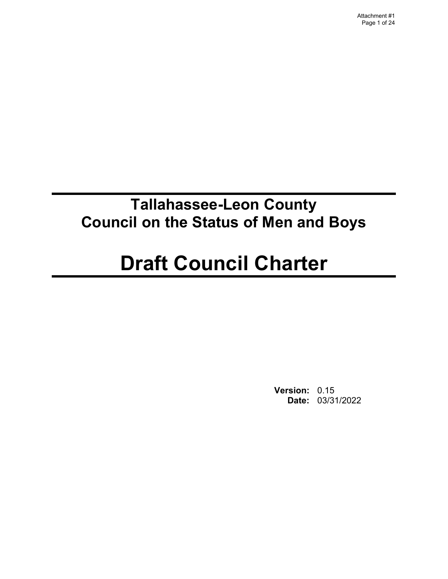Attachment #1 Page 1 of 24

# **Tallahassee-Leon County Council on the Status of Men and Boys**

# **Draft Council Charter**

**Version:** 0.15 **Date:** 03/31/2022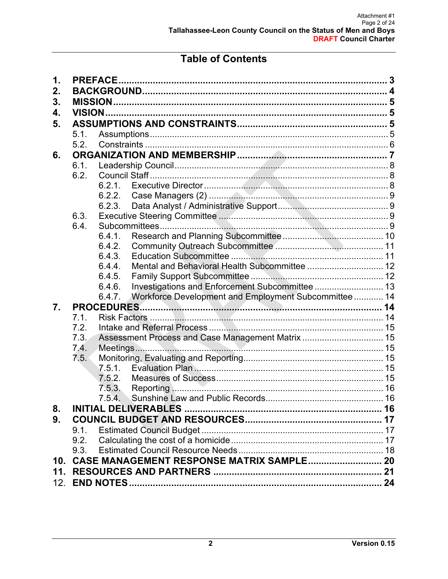# **Table of Contents**

| 1. |      |                                                                |  |  |
|----|------|----------------------------------------------------------------|--|--|
| 2. |      |                                                                |  |  |
| 3. |      |                                                                |  |  |
| 4. |      |                                                                |  |  |
| 5. |      |                                                                |  |  |
|    | 5.1. |                                                                |  |  |
|    | 5.2. |                                                                |  |  |
| 6. |      |                                                                |  |  |
|    | 6.1. |                                                                |  |  |
|    | 6.2. |                                                                |  |  |
|    |      | 6.2.1.                                                         |  |  |
|    |      |                                                                |  |  |
|    |      | 6.2.3.                                                         |  |  |
|    | 6.3. |                                                                |  |  |
|    | 6.4. |                                                                |  |  |
|    |      | 6.4.1.                                                         |  |  |
|    |      | 6.4.2.                                                         |  |  |
|    |      | 6.4.3.                                                         |  |  |
|    |      | 6.4.4.                                                         |  |  |
|    |      | 6.4.5.                                                         |  |  |
|    |      | Investigations and Enforcement Subcommittee 13<br>6.4.6.       |  |  |
|    |      | Workforce Development and Employment Subcommittee 14<br>6.4.7. |  |  |
| 7. |      |                                                                |  |  |
|    | 7.1. |                                                                |  |  |
|    | 7.2. |                                                                |  |  |
|    | 7.3. | Assessment Process and Case Management Matrix  15              |  |  |
|    | 7.4. |                                                                |  |  |
|    | 7.5. |                                                                |  |  |
|    |      | 7.5.1                                                          |  |  |
|    |      | 7.5.2.                                                         |  |  |
|    |      | 7.5.3.                                                         |  |  |
|    |      | 7.5.4.                                                         |  |  |
| 8. |      |                                                                |  |  |
| 9. |      |                                                                |  |  |
|    | 9.1. |                                                                |  |  |
|    | 9.2. |                                                                |  |  |
|    | 9.3. |                                                                |  |  |
|    |      | 10. CASE MANAGEMENT RESPONSE MATRIX SAMPLE 20                  |  |  |
|    |      |                                                                |  |  |
|    |      |                                                                |  |  |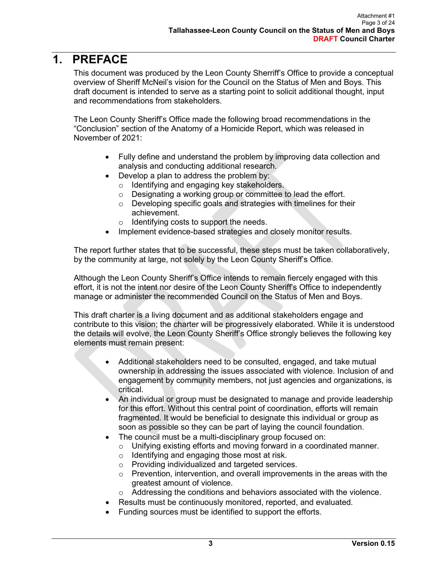# **1. PREFACE**

This document was produced by the Leon County Sherriff's Office to provide a conceptual overview of Sheriff McNeil's vision for the Council on the Status of Men and Boys. This draft document is intended to serve as a starting point to solicit additional thought, input and recommendations from stakeholders.

The Leon County Sheriff's Office made the following broad recommendations in the "Conclusion" section of the Anatomy of a Homicide Report, which was released in November of 2021:

- Fully define and understand the problem by improving data collection and analysis and conducting additional research.
- Develop a plan to address the problem by:
	- $\circ$  Identifying and engaging key stakeholders.<br>  $\circ$  Designating a working group or committee to
	- Designating a working group or committee to lead the effort.
	- o Developing specific goals and strategies with timelines for their achievement.
	- o Identifying costs to support the needs.
- Implement evidence-based strategies and closely monitor results.

The report further states that to be successful, these steps must be taken collaboratively, by the community at large, not solely by the Leon County Sheriff's Office.

Although the Leon County Sheriff's Office intends to remain fiercely engaged with this effort, it is not the intent nor desire of the Leon County Sheriff's Office to independently manage or administer the recommended Council on the Status of Men and Boys.

This draft charter is a living document and as additional stakeholders engage and contribute to this vision; the charter will be progressively elaborated. While it is understood the details will evolve, the Leon County Sheriff's Office strongly believes the following key elements must remain present:

- Additional stakeholders need to be consulted, engaged, and take mutual ownership in addressing the issues associated with violence. Inclusion of and engagement by community members, not just agencies and organizations, is critical.
- An individual or group must be designated to manage and provide leadership for this effort. Without this central point of coordination, efforts will remain fragmented. It would be beneficial to designate this individual or group as soon as possible so they can be part of laying the council foundation.
- The council must be a multi-disciplinary group focused on:
	- $\circ$  Unifying existing efforts and moving forward in a coordinated manner.<br>  $\circ$  Identifying and engaging those most at risk.
	- Identifying and engaging those most at risk.
	- o Providing individualized and targeted services.
	- $\circ$  Prevention, intervention, and overall improvements in the areas with the greatest amount of violence.
	- o Addressing the conditions and behaviors associated with the violence.
	- Results must be continuously monitored, reported, and evaluated.
- Funding sources must be identified to support the efforts.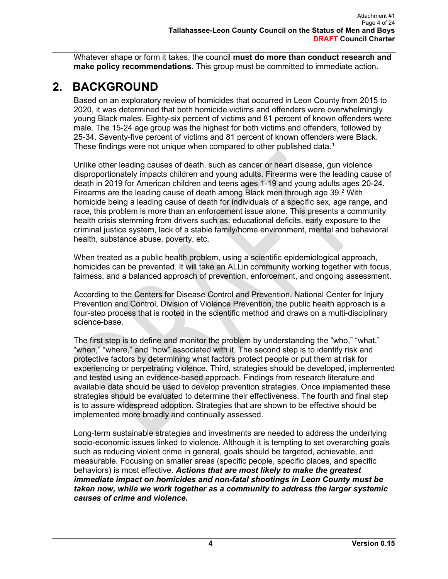Whatever shape or form it takes, the council **must do more than conduct research and make policy recommendations.** This group must be committed to immediate action.

# **2. BACKGROUND**

Based on an exploratory review of homicides that occurred in Leon County from 2015 to 2020, it was determined that both homicide victims and offenders were overwhelmingly young Black males. Eighty-six percent of victims and 81 percent of known offenders were male. The 15-24 age group was the highest for both victims and offenders, followed by 25-34. Seventy-five percent of victims and 81 percent of known offenders were Black. These findings were not unique when compared to other published data.<sup>[1](#page-23-0)</sup>

Unlike other leading causes of death, such as cancer or heart disease, gun violence disproportionately impacts children and young adults. Firearms were the leading cause of death in 2019 for American children and teens ages 1-19 and young adults ages 20-24. Firearms are the leading cause of death among Black men through age 39.[2](#page-23-1) With homicide being a leading cause of death for individuals of a specific sex, age range, and race, this problem is more than an enforcement issue alone. This presents a community health crisis stemming from drivers such as: educational deficits, early exposure to the criminal justice system, lack of a stable family/home environment, mental and behavioral health, substance abuse, poverty, etc.

When treated as a public health problem, using a scientific epidemiological approach, homicides can be prevented. It will take an ALLin community working together with focus, fairness, and a balanced approach of prevention, enforcement, and ongoing assessment.

According to the Centers for Disease Control and Prevention, National Center for Injury Prevention and Control, Division of Violence Prevention, the public health approach is a four-step process that is rooted in the scientific method and draws on a multi-disciplinary science-base.

The first step is to define and monitor the problem by understanding the "who," "what," "when," "where," and "how" associated with it. The second step is to identify risk and protective factors by determining what factors protect people or put them at risk for experiencing or perpetrating violence. Third, strategies should be developed, implemented and tested using an evidence-based approach. Findings from research literature and available data should be used to develop prevention strategies. Once implemented these strategies should be evaluated to determine their effectiveness. The fourth and final step is to assure widespread adoption. Strategies that are shown to be effective should be implemented more broadly and continually assessed.

Long-term sustainable strategies and investments are needed to address the underlying socio-economic issues linked to violence. Although it is tempting to set overarching goals such as reducing violent crime in general, goals should be targeted, achievable, and measurable. Focusing on smaller areas (specific people, specific places, and specific behaviors) is most effective. *Actions that are most likely to make the greatest immediate impact on homicides and non-fatal shootings in Leon County must be taken now, while we work together as a community to address the larger systemic causes of crime and violence.*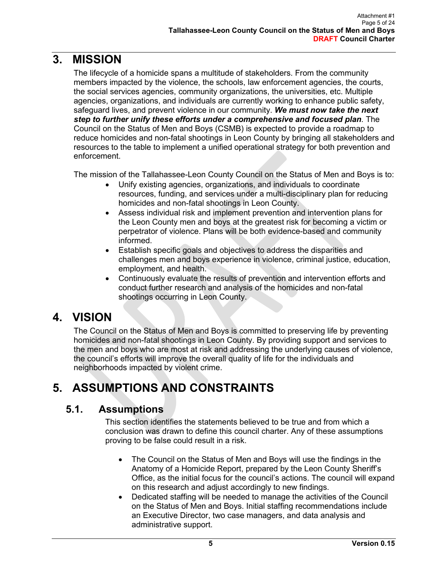# **3. MISSION**

The lifecycle of a homicide spans a multitude of stakeholders. From the community members impacted by the violence, the schools, law enforcement agencies, the courts, the social services agencies, community organizations, the universities, etc. Multiple agencies, organizations, and individuals are currently working to enhance public safety, safeguard lives, and prevent violence in our community. *We must now take the next step to further unify these efforts under a comprehensive and focused plan*. The Council on the Status of Men and Boys (CSMB) is expected to provide a roadmap to reduce homicides and non-fatal shootings in Leon County by bringing all stakeholders and resources to the table to implement a unified operational strategy for both prevention and enforcement.

The mission of the Tallahassee-Leon County Council on the Status of Men and Boys is to:

- Unify existing agencies, organizations, and individuals to coordinate resources, funding, and services under a multi-disciplinary plan for reducing homicides and non-fatal shootings in Leon County.
- Assess individual risk and implement prevention and intervention plans for the Leon County men and boys at the greatest risk for becoming a victim or perpetrator of violence. Plans will be both evidence-based and community informed.
- Establish specific goals and objectives to address the disparities and challenges men and boys experience in violence, criminal justice, education, employment, and health.
- Continuously evaluate the results of prevention and intervention efforts and conduct further research and analysis of the homicides and non-fatal shootings occurring in Leon County.

# **4. VISION**

The Council on the Status of Men and Boys is committed to preserving life by preventing homicides and non-fatal shootings in Leon County. By providing support and services to the men and boys who are most at risk and addressing the underlying causes of violence, the council's efforts will improve the overall quality of life for the individuals and neighborhoods impacted by violent crime.

# **5. ASSUMPTIONS AND CONSTRAINTS**

# **5.1. Assumptions**

This section identifies the statements believed to be true and from which a conclusion was drawn to define this council charter. Any of these assumptions proving to be false could result in a risk.

- The Council on the Status of Men and Boys will use the findings in the Anatomy of a Homicide Report, prepared by the Leon County Sheriff's Office, as the initial focus for the council's actions. The council will expand on this research and adjust accordingly to new findings.
- Dedicated staffing will be needed to manage the activities of the Council on the Status of Men and Boys. Initial staffing recommendations include an Executive Director, two case managers, and data analysis and administrative support.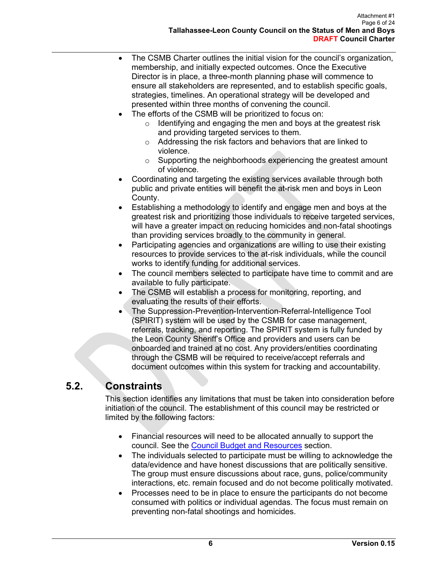- The CSMB Charter outlines the initial vision for the council's organization, membership, and initially expected outcomes. Once the Executive Director is in place, a three-month planning phase will commence to ensure all stakeholders are represented, and to establish specific goals, strategies, timelines. An operational strategy will be developed and presented within three months of convening the council.
- The efforts of the CSMB will be prioritized to focus on:
	- $\circ$  Identifying and engaging the men and boys at the greatest risk and providing targeted services to them.
	- o Addressing the risk factors and behaviors that are linked to violence.
	- $\circ$  Supporting the neighborhoods experiencing the greatest amount of violence.
- Coordinating and targeting the existing services available through both public and private entities will benefit the at-risk men and boys in Leon County.
- Establishing a methodology to identify and engage men and boys at the greatest risk and prioritizing those individuals to receive targeted services, will have a greater impact on reducing homicides and non-fatal shootings than providing services broadly to the community in general.
- Participating agencies and organizations are willing to use their existing resources to provide services to the at-risk individuals, while the council works to identify funding for additional services.
- The council members selected to participate have time to commit and are available to fully participate.
- The CSMB will establish a process for monitoring, reporting, and evaluating the results of their efforts.
- The Suppression-Prevention-Intervention-Referral-Intelligence Tool (SPIRIT) system will be used by the CSMB for case management, referrals, tracking, and reporting. The SPIRIT system is fully funded by the Leon County Sheriff's Office and providers and users can be onboarded and trained at no cost. Any providers/entities coordinating through the CSMB will be required to receive/accept referrals and document outcomes within this system for tracking and accountability.

## **5.2. Constraints**

This section identifies any limitations that must be taken into consideration before initiation of the council. The establishment of this council may be restricted or limited by the following factors:

- Financial resources will need to be allocated annually to support the council. See the [Council Budget and Resources](#page-16-0) section.
- The individuals selected to participate must be willing to acknowledge the data/evidence and have honest discussions that are politically sensitive. The group must ensure discussions about race, guns, police/community interactions, etc. remain focused and do not become politically motivated.
- Processes need to be in place to ensure the participants do not become consumed with politics or individual agendas. The focus must remain on preventing non-fatal shootings and homicides.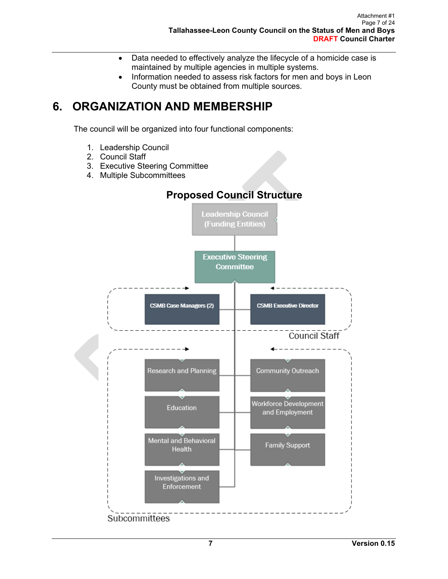- Data needed to effectively analyze the lifecycle of a homicide case is maintained by multiple agencies in multiple systems.
- Information needed to assess risk factors for men and boys in Leon County must be obtained from multiple sources.

# **6. ORGANIZATION AND MEMBERSHIP**

The council will be organized into four functional components:

- 1. Leadership Council
- 2. Council Staff
- 3. Executive Steering Committee
- 4. Multiple Subcommittees

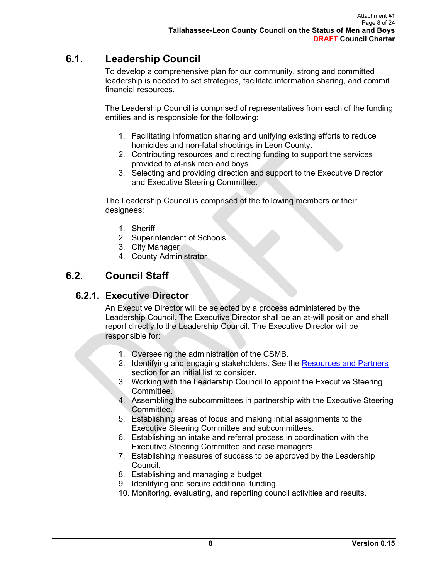## **6.1. Leadership Council**

To develop a comprehensive plan for our community, strong and committed leadership is needed to set strategies, facilitate information sharing, and commit financial resources.

The Leadership Council is comprised of representatives from each of the funding entities and is responsible for the following:

- 1. Facilitating information sharing and unifying existing efforts to reduce homicides and non-fatal shootings in Leon County.
- 2. Contributing resources and directing funding to support the services provided to at-risk men and boys.
- 3. Selecting and providing direction and support to the Executive Director and Executive Steering Committee.

The Leadership Council is comprised of the following members or their designees:

- 1. Sheriff
- 2. Superintendent of Schools
- 3. City Manager
- 4. County Administrator

## **6.2. Council Staff**

#### **6.2.1. Executive Director**

An Executive Director will be selected by a process administered by the Leadership Council. The Executive Director shall be an at-will position and shall report directly to the Leadership Council. The Executive Director will be responsible for:

- 1. Overseeing the administration of the CSMB.
- 2. Identifying and engaging stakeholders. See the [Resources and Partners](#page-20-0) section for an initial list to consider.
- 3. Working with the Leadership Council to appoint the Executive Steering Committee.
- 4. Assembling the subcommittees in partnership with the Executive Steering Committee.
- 5. Establishing areas of focus and making initial assignments to the Executive Steering Committee and subcommittees.
- 6. Establishing an intake and referral process in coordination with the Executive Steering Committee and case managers.
- 7. Establishing measures of success to be approved by the Leadership Council.
- 8. Establishing and managing a budget.
- 9. Identifying and secure additional funding.
- 10. Monitoring, evaluating, and reporting council activities and results.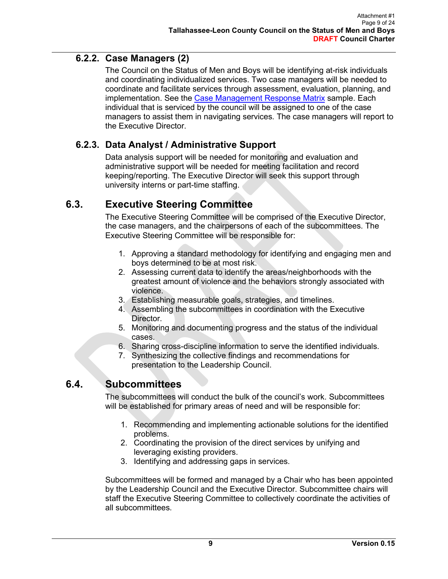## **6.2.2. Case Managers (2)**

The Council on the Status of Men and Boys will be identifying at-risk individuals and coordinating individualized services. Two case managers will be needed to coordinate and facilitate services through assessment, evaluation, planning, and implementation. See the [Case Management Response Matrix](#page-19-0) sample. Each individual that is serviced by the council will be assigned to one of the case managers to assist them in navigating services. The case managers will report to the Executive Director.

#### **6.2.3. Data Analyst / Administrative Support**

Data analysis support will be needed for monitoring and evaluation and administrative support will be needed for meeting facilitation and record keeping/reporting. The Executive Director will seek this support through university interns or part-time staffing.

## **6.3. Executive Steering Committee**

The Executive Steering Committee will be comprised of the Executive Director, the case managers, and the chairpersons of each of the subcommittees. The Executive Steering Committee will be responsible for:

- 1. Approving a standard methodology for identifying and engaging men and boys determined to be at most risk.
- 2. Assessing current data to identify the areas/neighborhoods with the greatest amount of violence and the behaviors strongly associated with violence.
- 3. Establishing measurable goals, strategies, and timelines.
- 4. Assembling the subcommittees in coordination with the Executive Director.
- 5. Monitoring and documenting progress and the status of the individual cases.
- 6. Sharing cross-discipline information to serve the identified individuals.
- 7. Synthesizing the collective findings and recommendations for presentation to the Leadership Council.

## **6.4. Subcommittees**

The subcommittees will conduct the bulk of the council's work. Subcommittees will be established for primary areas of need and will be responsible for:

- 1. Recommending and implementing actionable solutions for the identified problems.
- 2. Coordinating the provision of the direct services by unifying and leveraging existing providers.
- 3. Identifying and addressing gaps in services.

Subcommittees will be formed and managed by a Chair who has been appointed by the Leadership Council and the Executive Director. Subcommittee chairs will staff the Executive Steering Committee to collectively coordinate the activities of all subcommittees.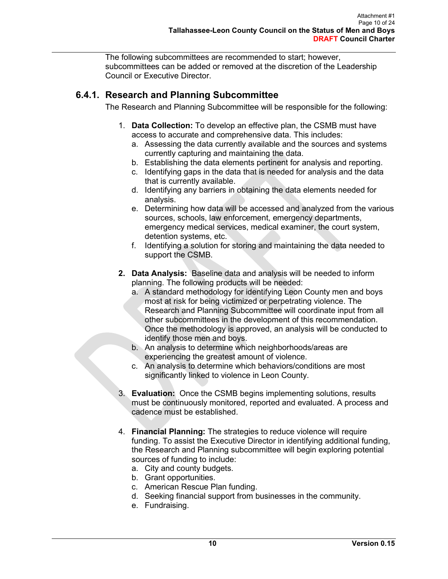The following subcommittees are recommended to start; however, subcommittees can be added or removed at the discretion of the Leadership Council or Executive Director.

#### **6.4.1. Research and Planning Subcommittee**

The Research and Planning Subcommittee will be responsible for the following:

- 1. **Data Collection:** To develop an effective plan, the CSMB must have access to accurate and comprehensive data. This includes:
	- a. Assessing the data currently available and the sources and systems currently capturing and maintaining the data.
	- b. Establishing the data elements pertinent for analysis and reporting.
	- c. Identifying gaps in the data that is needed for analysis and the data that is currently available.
	- d. Identifying any barriers in obtaining the data elements needed for analysis.
	- e. Determining how data will be accessed and analyzed from the various sources, schools, law enforcement, emergency departments, emergency medical services, medical examiner, the court system, detention systems, etc.
	- f. Identifying a solution for storing and maintaining the data needed to support the CSMB.
- **2. Data Analysis:** Baseline data and analysis will be needed to inform planning. The following products will be needed:
	- a. A standard methodology for identifying Leon County men and boys most at risk for being victimized or perpetrating violence. The Research and Planning Subcommittee will coordinate input from all other subcommittees in the development of this recommendation. Once the methodology is approved, an analysis will be conducted to identify those men and boys.
	- b. An analysis to determine which neighborhoods/areas are experiencing the greatest amount of violence.
	- c. An analysis to determine which behaviors/conditions are most significantly linked to violence in Leon County.
- 3. **Evaluation:** Once the CSMB begins implementing solutions, results must be continuously monitored, reported and evaluated. A process and cadence must be established.
- 4. **Financial Planning:** The strategies to reduce violence will require funding. To assist the Executive Director in identifying additional funding, the Research and Planning subcommittee will begin exploring potential sources of funding to include:
	- a. City and county budgets.
	- b. Grant opportunities.
	- c. American Rescue Plan funding.
	- d. Seeking financial support from businesses in the community.
	- e. Fundraising.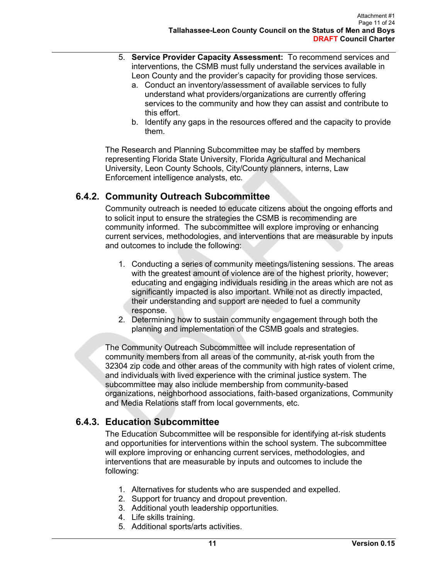- 5. **Service Provider Capacity Assessment:** To recommend services and interventions, the CSMB must fully understand the services available in Leon County and the provider's capacity for providing those services.
	- a. Conduct an inventory/assessment of available services to fully understand what providers/organizations are currently offering services to the community and how they can assist and contribute to this effort.
	- b. Identify any gaps in the resources offered and the capacity to provide them.

The Research and Planning Subcommittee may be staffed by members representing Florida State University, Florida Agricultural and Mechanical University, Leon County Schools, City/County planners, interns, Law Enforcement intelligence analysts, etc.

#### **6.4.2. Community Outreach Subcommittee**

Community outreach is needed to educate citizens about the ongoing efforts and to solicit input to ensure the strategies the CSMB is recommending are community informed. The subcommittee will explore improving or enhancing current services, methodologies, and interventions that are measurable by inputs and outcomes to include the following:

- 1. Conducting a series of community meetings/listening sessions. The areas with the greatest amount of violence are of the highest priority, however; educating and engaging individuals residing in the areas which are not as significantly impacted is also important. While not as directly impacted, their understanding and support are needed to fuel a community response.
- 2. Determining how to sustain community engagement through both the planning and implementation of the CSMB goals and strategies.

The Community Outreach Subcommittee will include representation of community members from all areas of the community, at-risk youth from the 32304 zip code and other areas of the community with high rates of violent crime, and individuals with lived experience with the criminal justice system. The subcommittee may also include membership from community-based organizations, neighborhood associations, faith-based organizations, Community and Media Relations staff from local governments, etc.

#### **6.4.3. Education Subcommittee**

The Education Subcommittee will be responsible for identifying at-risk students and opportunities for interventions within the school system. The subcommittee will explore improving or enhancing current services, methodologies, and interventions that are measurable by inputs and outcomes to include the following:

- 1. Alternatives for students who are suspended and expelled.
- 2. Support for truancy and dropout prevention.
- 3. Additional youth leadership opportunities.
- 4. Life skills training.
- 5. Additional sports/arts activities.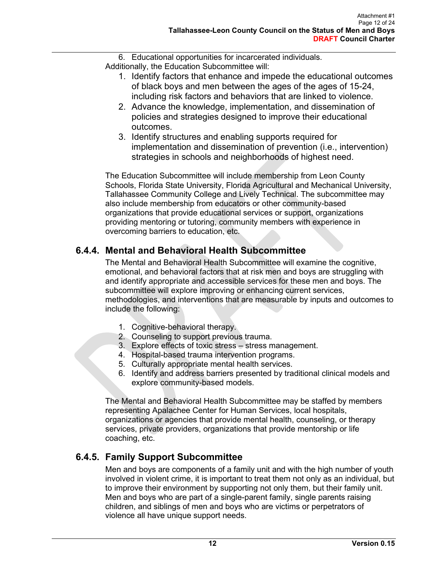6. Educational opportunities for incarcerated individuals. Additionally, the Education Subcommittee will:

- 1. Identify factors that enhance and impede the educational outcomes of black boys and men between the ages of the ages of 15-24, including risk factors and behaviors that are linked to violence.
- 2. Advance the knowledge, implementation, and dissemination of policies and strategies designed to improve their educational outcomes.
- 3. Identify structures and enabling supports required for implementation and dissemination of prevention (i.e., intervention) strategies in schools and neighborhoods of highest need.

The Education Subcommittee will include membership from Leon County Schools, Florida State University, Florida Agricultural and Mechanical University, Tallahassee Community College and Lively Technical. The subcommittee may also include membership from educators or other community-based organizations that provide educational services or support, organizations providing mentoring or tutoring, community members with experience in overcoming barriers to education, etc.

### **6.4.4. Mental and Behavioral Health Subcommittee**

The Mental and Behavioral Health Subcommittee will examine the cognitive, emotional, and behavioral factors that at risk men and boys are struggling with and identify appropriate and accessible services for these men and boys. The subcommittee will explore improving or enhancing current services, methodologies, and interventions that are measurable by inputs and outcomes to include the following:

- 1. Cognitive-behavioral therapy.
- 2. Counseling to support previous trauma.
- 3. Explore effects of toxic stress stress management.
- 4. Hospital-based trauma intervention programs.
- 5. Culturally appropriate mental health services.
- 6. Identify and address barriers presented by traditional clinical models and explore community-based models.

The Mental and Behavioral Health Subcommittee may be staffed by members representing Apalachee Center for Human Services, local hospitals, organizations or agencies that provide mental health, counseling, or therapy services, private providers, organizations that provide mentorship or life coaching, etc.

## **6.4.5. Family Support Subcommittee**

Men and boys are components of a family unit and with the high number of youth involved in violent crime, it is important to treat them not only as an individual, but to improve their environment by supporting not only them, but their family unit. Men and boys who are part of a single-parent family, single parents raising children, and siblings of men and boys who are victims or perpetrators of violence all have unique support needs.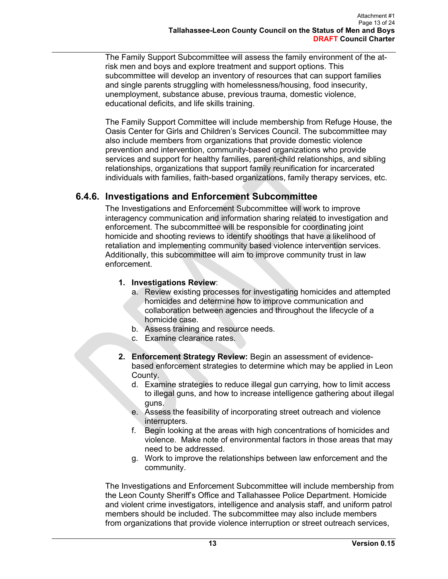The Family Support Subcommittee will assess the family environment of the atrisk men and boys and explore treatment and support options. This subcommittee will develop an inventory of resources that can support families and single parents struggling with homelessness/housing, food insecurity, unemployment, substance abuse, previous trauma, domestic violence, educational deficits, and life skills training.

The Family Support Committee will include membership from Refuge House, the Oasis Center for Girls and Children's Services Council. The subcommittee may also include members from organizations that provide domestic violence prevention and intervention, community-based organizations who provide services and support for healthy families, parent-child relationships, and sibling relationships, organizations that support family reunification for incarcerated individuals with families, faith-based organizations, family therapy services, etc.

#### **6.4.6. Investigations and Enforcement Subcommittee**

The Investigations and Enforcement Subcommittee will work to improve interagency communication and information sharing related to investigation and enforcement. The subcommittee will be responsible for coordinating joint homicide and shooting reviews to identify shootings that have a likelihood of retaliation and implementing community based violence intervention services. Additionally, this subcommittee will aim to improve community trust in law enforcement.

#### **1. Investigations Review**:

- a. Review existing processes for investigating homicides and attempted homicides and determine how to improve communication and collaboration between agencies and throughout the lifecycle of a homicide case.
- b. Assess training and resource needs.
- c. Examine clearance rates.
- **2. Enforcement Strategy Review:** Begin an assessment of evidencebased enforcement strategies to determine which may be applied in Leon County.
	- d. Examine strategies to reduce illegal gun carrying, how to limit access to illegal guns, and how to increase intelligence gathering about illegal guns.
	- e. Assess the feasibility of incorporating street outreach and violence interrupters.
	- f. Begin looking at the areas with high concentrations of homicides and violence. Make note of environmental factors in those areas that may need to be addressed.
	- g. Work to improve the relationships between law enforcement and the community.

The Investigations and Enforcement Subcommittee will include membership from the Leon County Sheriff's Office and Tallahassee Police Department. Homicide and violent crime investigators, intelligence and analysis staff, and uniform patrol members should be included. The subcommittee may also include members from organizations that provide violence interruption or street outreach services,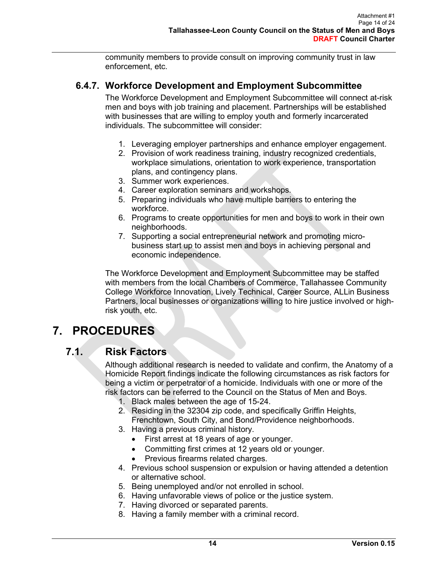community members to provide consult on improving community trust in law enforcement, etc.

#### **6.4.7. Workforce Development and Employment Subcommittee**

The Workforce Development and Employment Subcommittee will connect at-risk men and boys with job training and placement. Partnerships will be established with businesses that are willing to employ youth and formerly incarcerated individuals. The subcommittee will consider:

- 1. Leveraging employer partnerships and enhance employer engagement.
- 2. Provision of work readiness training, industry recognized credentials, workplace simulations, orientation to work experience, transportation plans, and contingency plans.
- 3. Summer work experiences.
- 4. Career exploration seminars and workshops.
- 5. Preparing individuals who have multiple barriers to entering the workforce.
- 6. Programs to create opportunities for men and boys to work in their own neighborhoods.
- 7. Supporting a social entrepreneurial network and promoting microbusiness start up to assist men and boys in achieving personal and economic independence.

The Workforce Development and Employment Subcommittee may be staffed with members from the local Chambers of Commerce, Tallahassee Community College Workforce Innovation, Lively Technical, Career Source, ALLin Business Partners, local businesses or organizations willing to hire justice involved or highrisk youth, etc.

# **7. PROCEDURES**

## **7.1. Risk Factors**

Although additional research is needed to validate and confirm, the Anatomy of a Homicide Report findings indicate the following circumstances as risk factors for being a victim or perpetrator of a homicide. Individuals with one or more of the risk factors can be referred to the Council on the Status of Men and Boys.

- 1. Black males between the age of 15-24.
- 2. Residing in the 32304 zip code, and specifically Griffin Heights, Frenchtown, South City, and Bond/Providence neighborhoods.
- 3. Having a previous criminal history.
	- First arrest at 18 years of age or younger.
	- Committing first crimes at 12 years old or younger.
	- Previous firearms related charges.
- 4. Previous school suspension or expulsion or having attended a detention or alternative school.
- 5. Being unemployed and/or not enrolled in school.
- 6. Having unfavorable views of police or the justice system.
- 7. Having divorced or separated parents.
- 8. Having a family member with a criminal record.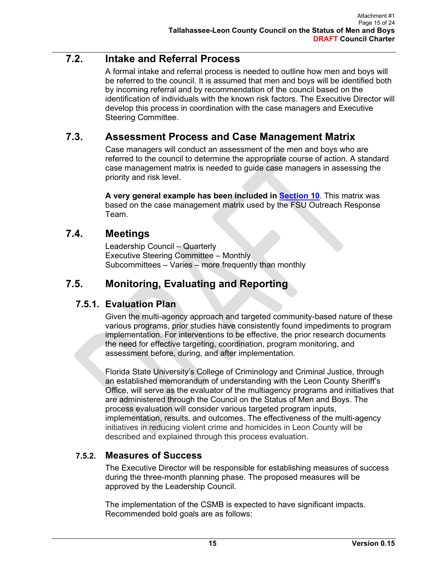## **7.2. Intake and Referral Process**

A formal intake and referral process is needed to outline how men and boys will be referred to the council. It is assumed that men and boys will be identified both by incoming referral and by recommendation of the council based on the identification of individuals with the known risk factors. The Executive Director will develop this process in coordination with the case managers and Executive Steering Committee.

### **7.3. Assessment Process and Case Management Matrix**

Case managers will conduct an assessment of the men and boys who are referred to the council to determine the appropriate course of action. A standard case management matrix is needed to guide case managers in assessing the priority and risk level.

**A very general example has been included in [Section 10](#page-19-0)**. This matrix was based on the case management matrix used by the FSU Outreach Response Team.

#### **7.4. Meetings**

Leadership Council – Quarterly Executive Steering Committee – Monthly Subcommittees – Varies – more frequently than monthly

## **7.5. Monitoring, Evaluating and Reporting**

#### **7.5.1. Evaluation Plan**

Given the multi-agency approach and targeted community-based nature of these various programs, prior studies have consistently found impediments to program implementation. For interventions to be effective, the prior research documents the need for effective targeting, coordination, program monitoring, and assessment before, during, and after implementation.

Florida State University's College of Criminology and Criminal Justice, through an established memorandum of understanding with the Leon County Sheriff's Office, will serve as the evaluator of the multiagency programs and initiatives that are administered through the Council on the Status of Men and Boys. The process evaluation will consider various targeted program inputs, implementation, results, and outcomes. The effectiveness of the multi-agency initiatives in reducing violent crime and homicides in Leon County will be described and explained through this process evaluation.

#### **7.5.2. Measures of Success**

The Executive Director will be responsible for establishing measures of success during the three-month planning phase. The proposed measures will be approved by the Leadership Council.

The implementation of the CSMB is expected to have significant impacts. Recommended bold goals are as follows: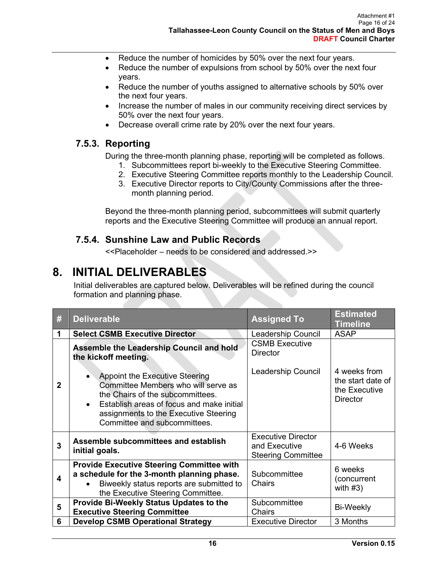- Reduce the number of homicides by 50% over the next four years.
- Reduce the number of expulsions from school by 50% over the next four years.
- Reduce the number of youths assigned to alternative schools by 50% over the next four years.
- Increase the number of males in our community receiving direct services by 50% over the next four years.
- Decrease overall crime rate by 20% over the next four years.

#### **7.5.3. Reporting**

During the three-month planning phase, reporting will be completed as follows.

- 1. Subcommittees report bi-weekly to the Executive Steering Committee.
- 2. Executive Steering Committee reports monthly to the Leadership Council.
- 3. Executive Director reports to City/County Commissions after the threemonth planning period.

Beyond the three-month planning period, subcommittees will submit quarterly reports and the Executive Steering Committee will produce an annual report.

#### **7.5.4. Sunshine Law and Public Records**

<<Placeholder – needs to be considered and addressed.>>

# **8. INITIAL DELIVERABLES**

Initial deliverables are captured below. Deliverables will be refined during the council formation and planning phase.

| #            | <b>Deliverable</b>                                                                                                                                                                                                                                  | <b>Assigned To</b>                                                      | <b>Estimated</b><br><b>Timeline</b>                                   |
|--------------|-----------------------------------------------------------------------------------------------------------------------------------------------------------------------------------------------------------------------------------------------------|-------------------------------------------------------------------------|-----------------------------------------------------------------------|
| 1            | <b>Select CSMB Executive Director</b>                                                                                                                                                                                                               | <b>Leadership Council</b>                                               | <b>ASAP</b>                                                           |
|              | Assemble the Leadership Council and hold<br>the kickoff meeting.                                                                                                                                                                                    | <b>CSMB Executive</b><br><b>Director</b>                                |                                                                       |
| $\mathbf{2}$ | <b>Appoint the Executive Steering</b><br>Committee Members who will serve as<br>the Chairs of the subcommittees.<br>Establish areas of focus and make initial<br>$\bullet$<br>assignments to the Executive Steering<br>Committee and subcommittees. | Leadership Council                                                      | 4 weeks from<br>the start date of<br>the Executive<br><b>Director</b> |
| 3            | Assemble subcommittees and establish<br>initial goals.                                                                                                                                                                                              | <b>Executive Director</b><br>and Executive<br><b>Steering Committee</b> | 4-6 Weeks                                                             |
| 4            | <b>Provide Executive Steering Committee with</b><br>a schedule for the 3-month planning phase.<br>Biweekly status reports are submitted to<br>$\bullet$<br>the Executive Steering Committee.                                                        | Subcommittee<br><b>Chairs</b>                                           | 6 weeks<br>(concurrent<br>with $#3)$                                  |
| 5            | Provide Bi-Weekly Status Updates to the<br><b>Executive Steering Committee</b>                                                                                                                                                                      | Subcommittee<br>Chairs                                                  | <b>Bi-Weekly</b>                                                      |
| 6            | <b>Develop CSMB Operational Strategy</b>                                                                                                                                                                                                            | <b>Executive Director</b>                                               | 3 Months                                                              |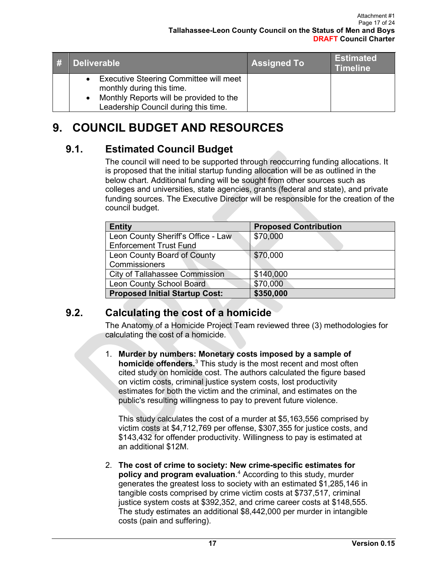| <b>Deliverable</b>                                                                                                                                                         | <b>Assigned To</b> | <b>Estimated</b><br>∣Timeline <sup>∖</sup> |
|----------------------------------------------------------------------------------------------------------------------------------------------------------------------------|--------------------|--------------------------------------------|
| <b>Executive Steering Committee will meet</b><br>$\bullet$<br>monthly during this time.<br>Monthly Reports will be provided to the<br>Leadership Council during this time. |                    |                                            |

# <span id="page-16-0"></span>**9. COUNCIL BUDGET AND RESOURCES**

## **9.1. Estimated Council Budget**

The council will need to be supported through reoccurring funding allocations. It is proposed that the initial startup funding allocation will be as outlined in the below chart. Additional funding will be sought from other sources such as colleges and universities, state agencies, grants (federal and state), and private funding sources. The Executive Director will be responsible for the creation of the council budget.

| <b>Entity</b>                         | <b>Proposed Contribution</b> |
|---------------------------------------|------------------------------|
| Leon County Sheriff's Office - Law    | \$70,000                     |
| <b>Enforcement Trust Fund</b>         |                              |
| Leon County Board of County           | \$70,000                     |
| Commissioners                         |                              |
| City of Tallahassee Commission        | \$140,000                    |
| Leon County School Board              | \$70,000                     |
| <b>Proposed Initial Startup Cost:</b> | \$350,000                    |

## **9.2. Calculating the cost of a homicide**

The Anatomy of a Homicide Project Team reviewed three (3) methodologies for calculating the cost of a homicide.

1. **Murder by numbers: Monetary costs imposed by a sample of homicide offenders.**[3](#page-23-2) This study is the most recent and most often cited study on homicide cost. The authors calculated the figure based on victim costs, criminal justice system costs, lost productivity estimates for both the victim and the criminal, and estimates on the public's resulting willingness to pay to prevent future violence.

This study calculates the cost of a murder at \$5,163,556 comprised by victim costs at \$4,712,769 per offense, \$307,355 for justice costs, and \$143,432 for offender productivity. Willingness to pay is estimated at an additional \$12M.

2. **The cost of crime to society: New crime-specific estimates for policy and program evaluation**. [4](#page-23-3) According to this study, murder generates the greatest loss to society with an estimated \$1,285,146 in tangible costs comprised by crime victim costs at \$737,517, criminal justice system costs at \$392,352, and crime career costs at \$148,555. The study estimates an additional \$8,442,000 per murder in intangible costs (pain and suffering).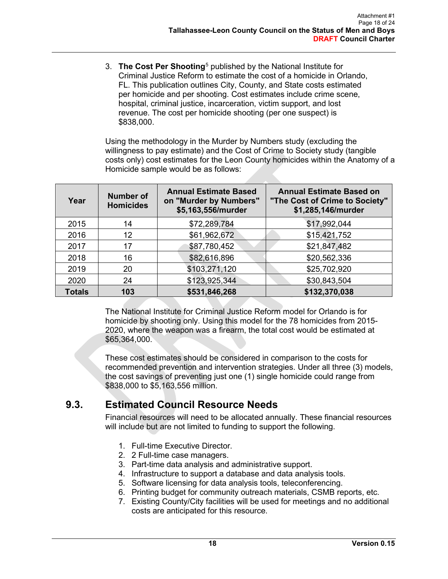3. **The Cost Per Shooting**[5](#page-23-4) published by the National Institute for Criminal Justice Reform to estimate the cost of a homicide in Orlando, FL. This publication outlines City, County, and State costs estimated per homicide and per shooting. Cost estimates include crime scene, hospital, criminal justice, incarceration, victim support, and lost revenue. The cost per homicide shooting (per one suspect) is \$838,000.

Using the methodology in the Murder by Numbers study (excluding the willingness to pay estimate) and the Cost of Crime to Society study (tangible costs only) cost estimates for the Leon County homicides within the Anatomy of a Homicide sample would be as follows:

| Year          | <b>Number of</b><br><b>Homicides</b> | <b>Annual Estimate Based</b><br>on "Murder by Numbers"<br>\$5,163,556/murder | <b>Annual Estimate Based on</b><br>"The Cost of Crime to Society"<br>\$1,285,146/murder |
|---------------|--------------------------------------|------------------------------------------------------------------------------|-----------------------------------------------------------------------------------------|
| 2015          | 14                                   | \$72,289,784                                                                 | \$17,992,044                                                                            |
| 2016          | 12                                   | \$61,962,672                                                                 | \$15,421,752                                                                            |
| 2017          | 17                                   | \$87,780,452                                                                 | \$21,847,482                                                                            |
| 2018          | 16                                   | \$82,616,896                                                                 | \$20,562,336                                                                            |
| 2019          | 20                                   | \$103,271,120                                                                | \$25,702,920                                                                            |
| 2020          | 24                                   | \$123,925,344                                                                | \$30,843,504                                                                            |
| <b>Totals</b> | 103                                  | \$531,846,268                                                                | \$132,370,038                                                                           |

The National Institute for Criminal Justice Reform model for Orlando is for homicide by shooting only. Using this model for the 78 homicides from 2015- 2020, where the weapon was a firearm, the total cost would be estimated at \$65,364,000.

These cost estimates should be considered in comparison to the costs for recommended prevention and intervention strategies. Under all three (3) models, the cost savings of preventing just one (1) single homicide could range from \$838,000 to \$5,163,556 million.

## **9.3. Estimated Council Resource Needs**

Financial resources will need to be allocated annually. These financial resources will include but are not limited to funding to support the following.

- 1. Full-time Executive Director.
- 2. 2 Full-time case managers.
- 3. Part-time data analysis and administrative support.
- 4. Infrastructure to support a database and data analysis tools.
- 5. Software licensing for data analysis tools, teleconferencing.
- 6. Printing budget for community outreach materials, CSMB reports, etc.
- 7. Existing County/City facilities will be used for meetings and no additional costs are anticipated for this resource.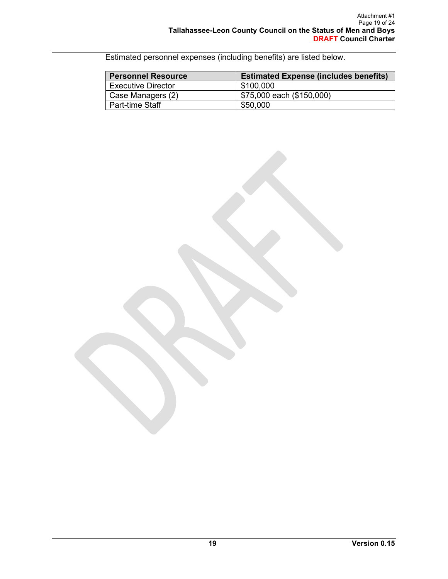Estimated personnel expenses (including benefits) are listed below.

| <b>Personnel Resource</b> | <b>Estimated Expense (includes benefits)</b> |
|---------------------------|----------------------------------------------|
| <b>Executive Director</b> | \$100,000                                    |
| Case Managers (2)         | \$75,000 each (\$150,000)                    |
| Part-time Staff           | \$50,000                                     |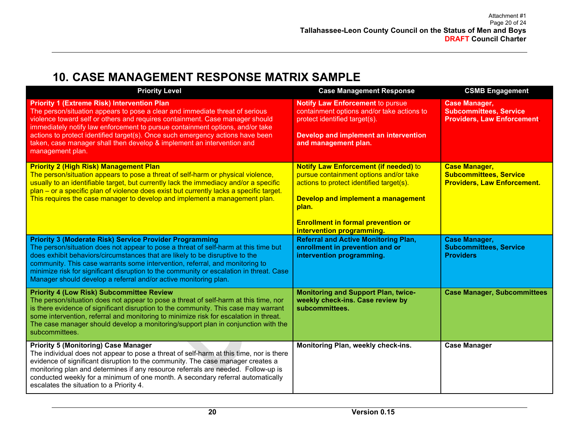# **10. CASE MANAGEMENT RESPONSE MATRIX SAMPLE**

<span id="page-19-0"></span>

| <b>Priority Level</b>                                                                                                                                                                                                                                                                                                                                                                                                                                                                | <b>Case Management Response</b>                                                                                                                                                                                                                             | <b>CSMB Engagement</b>                                                                      |
|--------------------------------------------------------------------------------------------------------------------------------------------------------------------------------------------------------------------------------------------------------------------------------------------------------------------------------------------------------------------------------------------------------------------------------------------------------------------------------------|-------------------------------------------------------------------------------------------------------------------------------------------------------------------------------------------------------------------------------------------------------------|---------------------------------------------------------------------------------------------|
| <b>Priority 1 (Extreme Risk) Intervention Plan</b><br>The person/situation appears to pose a clear and immediate threat of serious<br>violence toward self or others and requires containment. Case manager should<br>immediately notify law enforcement to pursue containment options, and/or take<br>actions to protect identified target(s). Once such emergency actions have been<br>taken, case manager shall then develop & implement an intervention and<br>management plan.  | <b>Notify Law Enforcement to pursue</b><br>containment options and/or take actions to<br>protect identified target(s).<br>Develop and implement an intervention<br>and management plan.                                                                     | <b>Case Manager,</b><br><b>Subcommittees, Service</b><br><b>Providers, Law Enforcement.</b> |
| <b>Priority 2 (High Risk) Management Plan</b><br>The person/situation appears to pose a threat of self-harm or physical violence,<br>usually to an identifiable target, but currently lack the immediacy and/or a specific<br>plan – or a specific plan of violence does exist but currently lacks a specific target.<br>This requires the case manager to develop and implement a management plan.                                                                                  | <b>Notify Law Enforcement (if needed) to</b><br>pursue containment options and/or take<br>actions to protect identified target(s).<br>Develop and implement a management<br>plan.<br><b>Enrollment in formal prevention or</b><br>intervention programming. | <b>Case Manager,</b><br><b>Subcommittees, Service</b><br><b>Providers, Law Enforcement.</b> |
| <b>Priority 3 (Moderate Risk) Service Provider Programming</b><br>The person/situation does not appear to pose a threat of self-harm at this time but<br>does exhibit behaviors/circumstances that are likely to be disruptive to the<br>community. This case warrants some intervention, referral, and monitoring to<br>minimize risk for significant disruption to the community or escalation in threat. Case<br>Manager should develop a referral and/or active monitoring plan. | <b>Referral and Active Monitoring Plan,</b><br>enrollment in prevention and or<br>intervention programming.                                                                                                                                                 | <b>Case Manager,</b><br><b>Subcommittees, Service</b><br><b>Providers</b>                   |
| <b>Priority 4 (Low Risk) Subcommittee Review</b><br>The person/situation does not appear to pose a threat of self-harm at this time, nor<br>is there evidence of significant disruption to the community. This case may warrant<br>some intervention, referral and monitoring to minimize risk for escalation in threat.<br>The case manager should develop a monitoring/support plan in conjunction with the<br>subcommittees.                                                      | <b>Monitoring and Support Plan, twice-</b><br>weekly check-ins. Case review by<br>subcommittees.                                                                                                                                                            | <b>Case Manager, Subcommittees</b>                                                          |
| <b>Priority 5 (Monitoring) Case Manager</b><br>The individual does not appear to pose a threat of self-harm at this time, nor is there<br>evidence of significant disruption to the community. The case manager creates a<br>monitoring plan and determines if any resource referrals are needed. Follow-up is<br>conducted weekly for a minimum of one month. A secondary referral automatically<br>escalates the situation to a Priority 4.                                        | Monitoring Plan, weekly check-ins.                                                                                                                                                                                                                          | <b>Case Manager</b>                                                                         |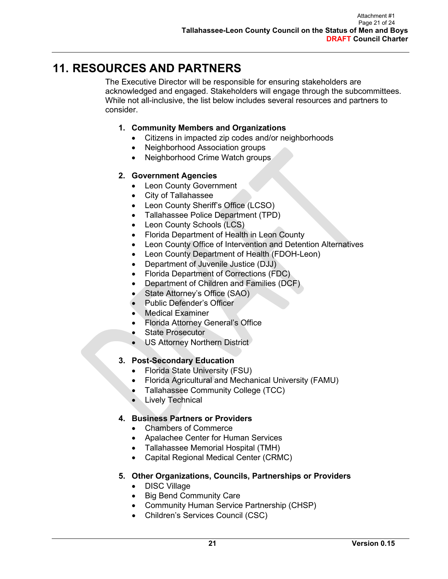# <span id="page-20-0"></span>**11. RESOURCES AND PARTNERS**

The Executive Director will be responsible for ensuring stakeholders are acknowledged and engaged. Stakeholders will engage through the subcommittees. While not all-inclusive, the list below includes several resources and partners to consider.

#### **1. Community Members and Organizations**

- Citizens in impacted zip codes and/or neighborhoods
- Neighborhood Association groups
- Neighborhood Crime Watch groups

#### **2. Government Agencies**

- Leon County Government
- City of Tallahassee
- Leon County Sheriff's Office (LCSO)
- Tallahassee Police Department (TPD)
- Leon County Schools (LCS)
- Florida Department of Health in Leon County
- Leon County Office of Intervention and Detention Alternatives
- Leon County Department of Health (FDOH-Leon)
- Department of Juvenile Justice (DJJ)
- Florida Department of Corrections (FDC)
- Department of Children and Families (DCF)
- State Attorney's Office (SAO)
- Public Defender's Officer
- Medical Examiner
- Florida Attorney General's Office
- State Prosecutor
- US Attorney Northern District

#### **3. Post-Secondary Education**

- Florida State University (FSU)
- Florida Agricultural and Mechanical University (FAMU)
- Tallahassee Community College (TCC)
- Lively Technical

#### **4. Business Partners or Providers**

- Chambers of Commerce
- Apalachee Center for Human Services
- Tallahassee Memorial Hospital (TMH)
- Capital Regional Medical Center (CRMC)

#### **5. Other Organizations, Councils, Partnerships or Providers**

- DISC Village
- Big Bend Community Care
- Community Human Service Partnership (CHSP)
- Children's Services Council (CSC)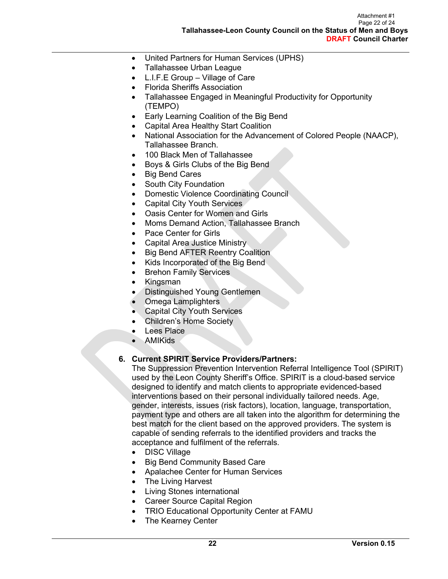- United Partners for Human Services (UPHS)
- Tallahassee Urban League
- L.I.F.E Group Village of Care
- Florida Sheriffs Association
- Tallahassee Engaged in Meaningful Productivity for Opportunity (TEMPO)
- Early Learning Coalition of the Big Bend
- Capital Area Healthy Start Coalition
- National Association for the Advancement of Colored People (NAACP), Tallahassee Branch.
- 100 Black Men of Tallahassee
- Boys & Girls Clubs of the Big Bend
- Big Bend Cares
- South City Foundation
- Domestic Violence Coordinating Council
- Capital City Youth Services
- Oasis Center for Women and Girls
- Moms Demand Action, Tallahassee Branch
- Pace Center for Girls
- Capital Area Justice Ministry
- **Big Bend AFTER Reentry Coalition**
- Kids Incorporated of the Big Bend
- **Brehon Family Services**
- Kingsman
- Distinguished Young Gentlemen
- Omega Lamplighters
- Capital City Youth Services
- Children's Home Society
- Lees Place
- AMIKids

#### **6. Current SPIRIT Service Providers/Partners:**

The Suppression Prevention Intervention Referral Intelligence Tool (SPIRIT) used by the Leon County Sheriff's Office. SPIRIT is a cloud-based service designed to identify and match clients to appropriate evidenced-based interventions based on their personal individually tailored needs. Age, gender, interests, issues (risk factors), location, language, transportation, payment type and others are all taken into the algorithm for determining the best match for the client based on the approved providers. The system is capable of sending referrals to the identified providers and tracks the acceptance and fulfilment of the referrals.

- DISC Village
- Big Bend Community Based Care
- Apalachee Center for Human Services
- The Living Harvest
- Living Stones international
- Career Source Capital Region
- TRIO Educational Opportunity Center at FAMU
- The Kearney Center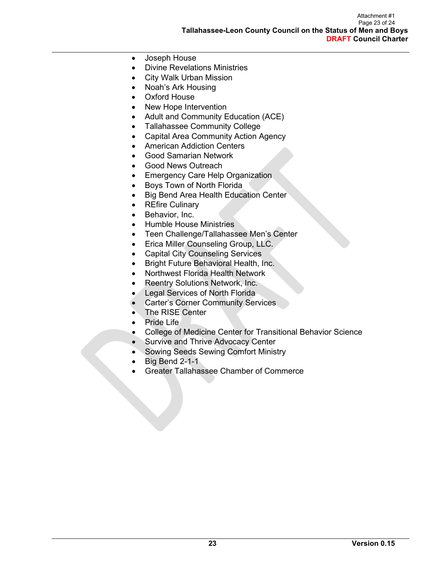- Joseph House
- Divine Revelations Ministries
- City Walk Urban Mission
- Noah's Ark Housing
- Oxford House
- New Hope Intervention
- Adult and Community Education (ACE)
- Tallahassee Community College
- Capital Area Community Action Agency
- American Addiction Centers
- Good Samarian Network
- Good News Outreach
- Emergency Care Help Organization
- Boys Town of North Florida
- Big Bend Area Health Education Center
- **REfire Culinary**
- Behavior, Inc.
- Humble House Ministries
- Teen Challenge/Tallahassee Men's Center
- Erica Miller Counseling Group, LLC.
- Capital City Counseling Services
- Bright Future Behavioral Health, Inc.
- Northwest Florida Health Network
- Reentry Solutions Network, Inc.
- Legal Services of North Florida
- **Carter's Corner Community Services**
- The RISE Center
- **Pride Life**
- College of Medicine Center for Transitional Behavior Science
- Survive and Thrive Advocacy Center
- Sowing Seeds Sewing Comfort Ministry
- Big Bend 2-1-1
- Greater Tallahassee Chamber of Commerce